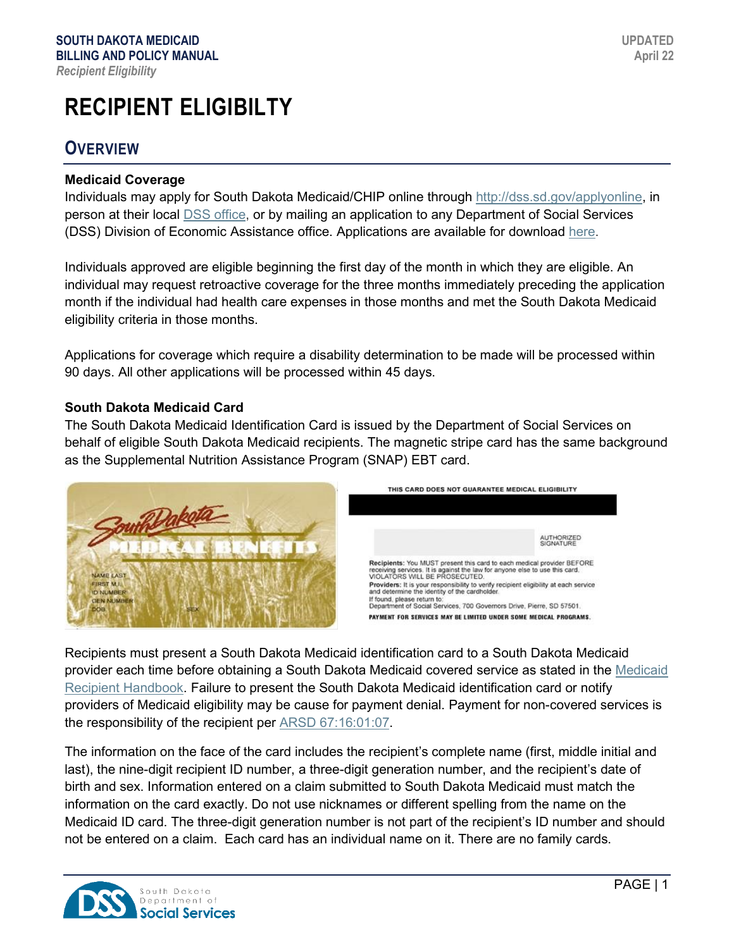# **RECIPIENT ELIGIBILTY**

### **OVERVIEW**

#### **Medicaid Coverage**

Individuals may apply for South Dakota Medicaid/CHIP online through [http://dss.sd.gov/applyonline,](http://dss.sd.gov/applyonline) in person at their local [DSS office,](http://dss.sd.gov/findyourlocaloffice/) or by mailing an application to any Department of Social Services (DSS) Division of Economic Assistance office. Applications are available for download [here.](http://dss.sd.gov/formsandpubs/default.aspx)

Individuals approved are eligible beginning the first day of the month in which they are eligible. An individual may request retroactive coverage for the three months immediately preceding the application month if the individual had health care expenses in those months and met the South Dakota Medicaid eligibility criteria in those months.

Applications for coverage which require a disability determination to be made will be processed within 90 days. All other applications will be processed within 45 days.

#### **South Dakota Medicaid Card**

The South Dakota Medicaid Identification Card is issued by the Department of Social Services on behalf of eligible South Dakota Medicaid recipients. The magnetic stripe card has the same background as the Supplemental Nutrition Assistance Program (SNAP) EBT card.



Recipients must present a South Dakota Medicaid identification card to a South Dakota Medicaid provider each time before obtaining a South Dakota Medicaid covered service as stated in the [Medicaid](https://dss.sd.gov/formsandpubs/docs/MEDSRVCS/MedicalAssistanceRecipientHdbk.pdf)  [Recipient Handbook.](https://dss.sd.gov/formsandpubs/docs/MEDSRVCS/MedicalAssistanceRecipientHdbk.pdf) Failure to present the South Dakota Medicaid identification card or notify providers of Medicaid eligibility may be cause for payment denial. Payment for non-covered services is the responsibility of the recipient per [ARSD 67:16:01:07.](http://sdlegislature.gov/rules/DisplayRule.aspx?Rule=67:16:01:07)

The information on the face of the card includes the recipient's complete name (first, middle initial and last), the nine-digit recipient ID number, a three-digit generation number, and the recipient's date of birth and sex. Information entered on a claim submitted to South Dakota Medicaid must match the information on the card exactly. Do not use nicknames or different spelling from the name on the Medicaid ID card. The three-digit generation number is not part of the recipient's ID number and should not be entered on a claim. Each card has an individual name on it. There are no family cards.

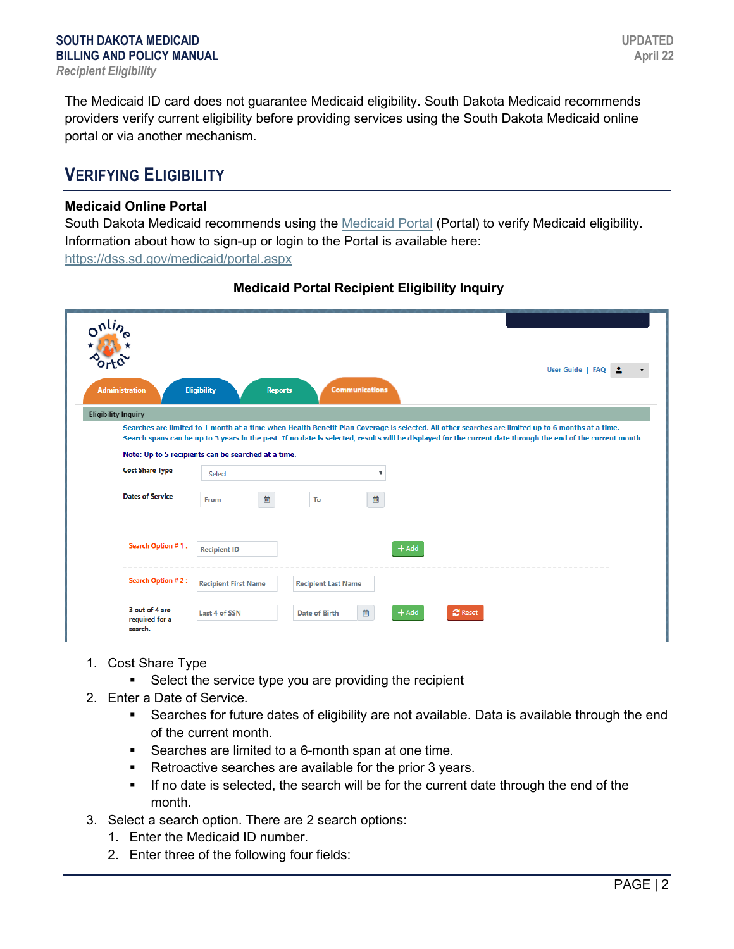The Medicaid ID card does not guarantee Medicaid eligibility. South Dakota Medicaid recommends providers verify current eligibility before providing services using the South Dakota Medicaid online portal or via another mechanism.

### **VERIFYING ELIGIBILITY**

#### **Medicaid Online Portal**

South Dakota Medicaid recommends using the [Medicaid Portal](https://dss.sd.gov/medicaid/portal.aspx) (Portal) to verify Medicaid eligibility. Information about how to sign-up or login to the Portal is available here: <https://dss.sd.gov/medicaid/portal.aspx>

| nliz                       |                                                     |                                                                                                                                                             |  |
|----------------------------|-----------------------------------------------------|-------------------------------------------------------------------------------------------------------------------------------------------------------------|--|
|                            |                                                     | User Guide   FAQ                                                                                                                                            |  |
| <b>Administration</b>      | <b>Eligibility</b><br><b>Reports</b>                | <b>Communications</b>                                                                                                                                       |  |
| <b>Eligibility Inquiry</b> |                                                     |                                                                                                                                                             |  |
|                            |                                                     | Searches are limited to 1 month at a time when Health Benefit Plan Coverage is selected. All other searches are limited up to 6 months at a time.           |  |
|                            |                                                     | Search spans can be up to 3 years in the past. If no date is selected, results will be displayed for the current date through the end of the current month. |  |
|                            | Note: Up to 5 recipients can be searched at a time. |                                                                                                                                                             |  |
| <b>Cost Share Type</b>     | Select                                              | $\boldsymbol{\mathrm{v}}$                                                                                                                                   |  |
| <b>Dates of Service</b>    | 崮<br>From                                           | 菌<br>To                                                                                                                                                     |  |
| Search Option #1:          | <b>Recipient ID</b>                                 | $+$ Add                                                                                                                                                     |  |
|                            |                                                     |                                                                                                                                                             |  |
| Search Option #2:          | <b>Recipient First Name</b>                         | <b>Recipient Last Name</b>                                                                                                                                  |  |
|                            |                                                     |                                                                                                                                                             |  |

#### **Medicaid Portal Recipient Eligibility Inquiry**

- 1. Cost Share Type
	- **Select the service type you are providing the recipient**
- 2. Enter a Date of Service.
	- Searches for future dates of eligibility are not available. Data is available through the end of the current month.
	- **Searches are limited to a 6-month span at one time.**
	- Retroactive searches are available for the prior 3 years.
	- If no date is selected, the search will be for the current date through the end of the month.
- 3. Select a search option. There are 2 search options:
	- 1. Enter the Medicaid ID number.
	- 2. Enter three of the following four fields: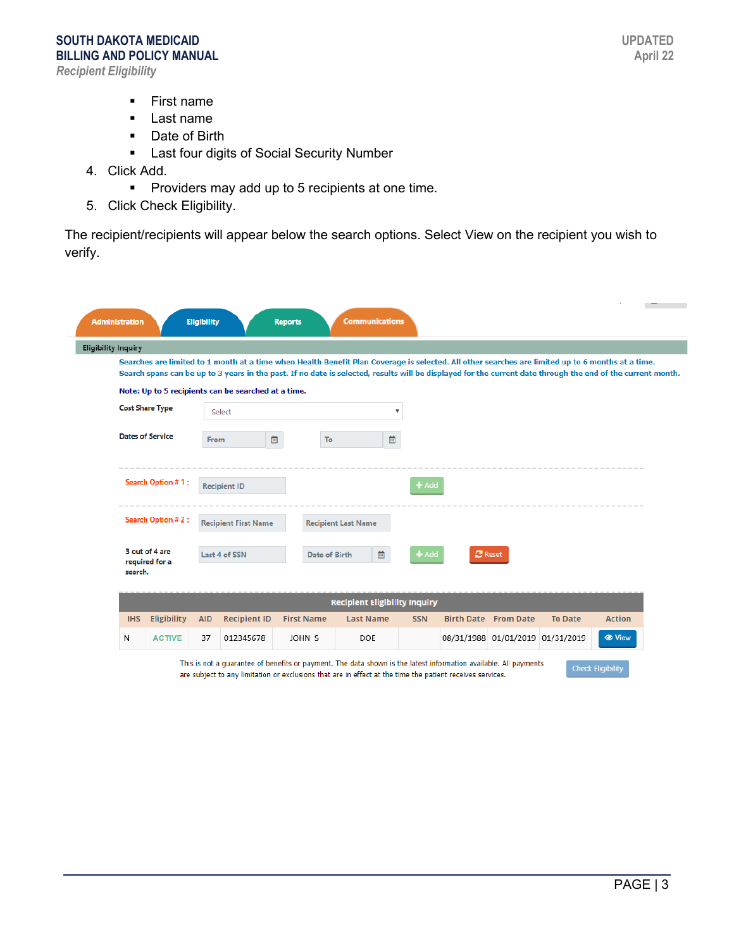- **First name**
- **Last name**
- **Date of Birth**
- **EXEC** Last four digits of Social Security Number
- 4. Click Add.
	- **Providers may add up to 5 recipients at one time.**
- 5. Click Check Eligibility.

The recipient/recipients will appear below the search options. Select View on the recipient you wish to verify.

| <b>Eligibility Inquiry</b> |                                  |            |                                                     |                   |                                                                                                                                                                                                                                                                                                                  |                                      |  |                             |                                  |                      |
|----------------------------|----------------------------------|------------|-----------------------------------------------------|-------------------|------------------------------------------------------------------------------------------------------------------------------------------------------------------------------------------------------------------------------------------------------------------------------------------------------------------|--------------------------------------|--|-----------------------------|----------------------------------|----------------------|
|                            |                                  |            |                                                     |                   | Searches are limited to 1 month at a time when Health Benefit Plan Coverage is selected. All other searches are limited up to 6 months at a time.<br>Search spans can be up to 3 years in the past. If no date is selected, results will be displayed for the current date through the end of the current month. |                                      |  |                             |                                  |                      |
|                            |                                  |            | Note: Up to 5 recipients can be searched at a time. |                   |                                                                                                                                                                                                                                                                                                                  |                                      |  |                             |                                  |                      |
|                            | <b>Cost Share Type</b>           |            | Select                                              |                   |                                                                                                                                                                                                                                                                                                                  | v                                    |  |                             |                                  |                      |
|                            | <b>Dates of Service</b>          | From       |                                                     | 曲                 | To                                                                                                                                                                                                                                                                                                               | 曲                                    |  |                             |                                  |                      |
|                            | Search Option #1:                |            | <b>Recipient ID</b>                                 |                   |                                                                                                                                                                                                                                                                                                                  | $+$ Add                              |  |                             |                                  |                      |
| <b>Search Option #2:</b>   |                                  |            | <b>Recipient First Name</b>                         |                   | <b>Recipient Last Name</b>                                                                                                                                                                                                                                                                                       |                                      |  |                             |                                  |                      |
| search.                    | 3 out of 4 are<br>required for a |            | Last 4 of SSN                                       |                   | 曲<br><b>Date of Birth</b>                                                                                                                                                                                                                                                                                        | $+$ Add                              |  | <b>P</b> Reset              |                                  |                      |
|                            |                                  |            |                                                     |                   |                                                                                                                                                                                                                                                                                                                  | <b>Recipient Eligibility Inquiry</b> |  |                             |                                  |                      |
| <b>IHS</b>                 | <b>Eligibility</b>               | <b>AID</b> | <b>Recipient ID</b>                                 | <b>First Name</b> | <b>Last Name</b>                                                                                                                                                                                                                                                                                                 | <b>SSN</b>                           |  | <b>Birth Date From Date</b> | <b>To Date</b>                   | <b>Action</b>        |
|                            | <b>ACTIVE</b>                    | 37         | 012345678                                           | JOHN S            | DOE                                                                                                                                                                                                                                                                                                              |                                      |  |                             | 08/31/1988 01/01/2019 01/31/2019 | <b><i>O</i></b> View |

This is not a guarantee of benefits or payment. The data shown is the latest information available. All payments are subject to any limitation or exclusions that are in effect at the time the patient receives services.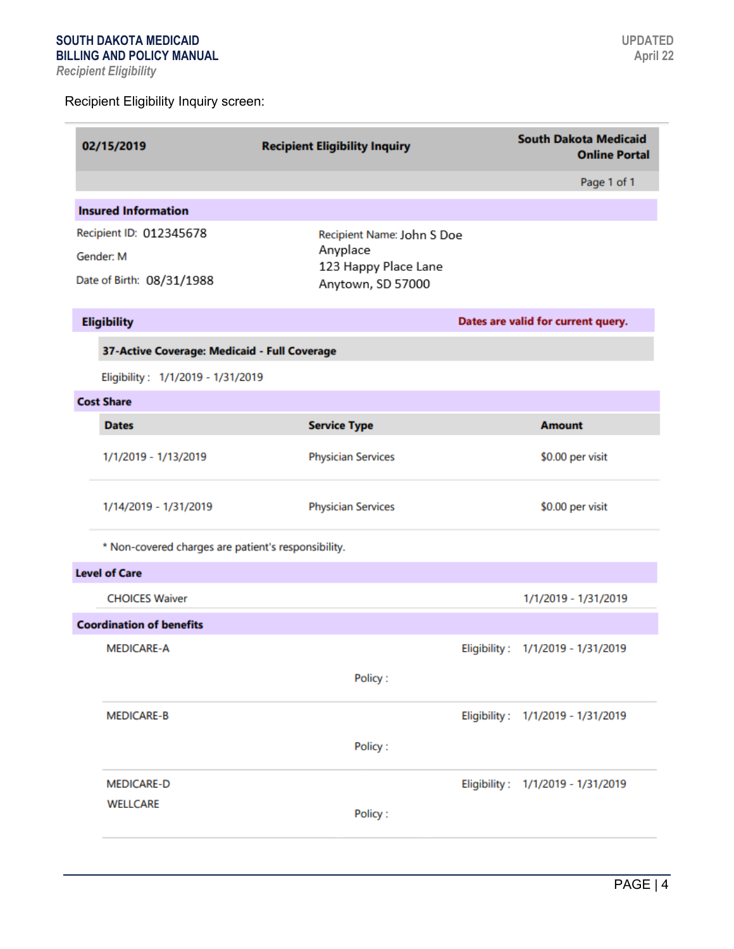÷

| 02/15/2019                                          | <b>Recipient Eligibility Inquiry</b>                           | <b>South Dakota Medicaid</b><br><b>Online Portal</b> |
|-----------------------------------------------------|----------------------------------------------------------------|------------------------------------------------------|
|                                                     |                                                                | Page 1 of 1                                          |
| <b>Insured Information</b>                          |                                                                |                                                      |
| Recipient ID: 012345678<br>Gender: M                | Recipient Name: John S Doe<br>Anyplace<br>123 Happy Place Lane |                                                      |
| Date of Birth: 08/31/1988                           | Anytown, SD 57000                                              |                                                      |
| <b>Eligibility</b>                                  |                                                                | Dates are valid for current query.                   |
| 37-Active Coverage: Medicaid - Full Coverage        |                                                                |                                                      |
| Eligibility: 1/1/2019 - 1/31/2019                   |                                                                |                                                      |
| <b>Cost Share</b>                                   |                                                                |                                                      |
| <b>Dates</b>                                        | <b>Service Type</b>                                            | <b>Amount</b>                                        |
| 1/1/2019 - 1/13/2019                                | <b>Physician Services</b>                                      | \$0.00 per visit                                     |
| 1/14/2019 - 1/31/2019                               | <b>Physician Services</b>                                      | \$0.00 per visit                                     |
| * Non-covered charges are patient's responsibility. |                                                                |                                                      |
| <b>Level of Care</b>                                |                                                                |                                                      |
| <b>CHOICES Waiver</b>                               |                                                                | 1/1/2019 - 1/31/2019                                 |
| <b>Coordination of benefits</b>                     |                                                                |                                                      |
| <b>MEDICARE-A</b>                                   |                                                                | Eligibility: 1/1/2019 - 1/31/2019                    |
|                                                     | Policy:                                                        |                                                      |
| <b>MEDICARE-B</b>                                   |                                                                | Eligibility: 1/1/2019 - 1/31/2019                    |
|                                                     | Policy:                                                        |                                                      |
| <b>MEDICARE-D</b>                                   |                                                                | Eligibility: 1/1/2019 - 1/31/2019                    |
| <b>WELLCARE</b>                                     | Policy:                                                        |                                                      |
|                                                     |                                                                |                                                      |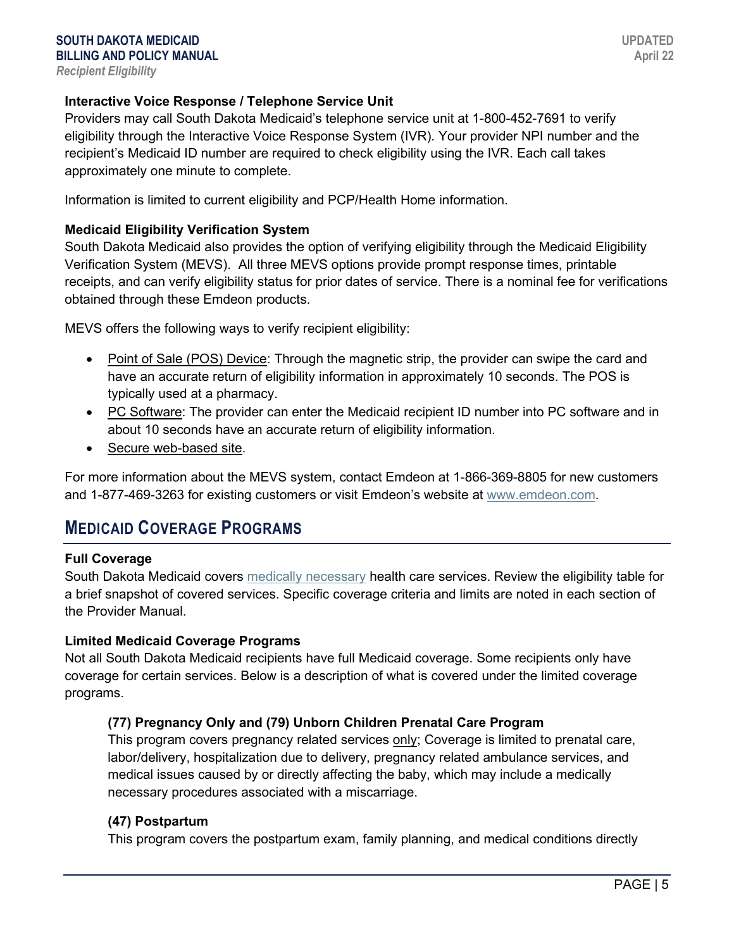#### **Interactive Voice Response / Telephone Service Unit**

Providers may call South Dakota Medicaid's telephone service unit at 1-800-452-7691 to verify eligibility through the Interactive Voice Response System (IVR). Your provider NPI number and the recipient's Medicaid ID number are required to check eligibility using the IVR. Each call takes approximately one minute to complete.

Information is limited to current eligibility and PCP/Health Home information.

#### **Medicaid Eligibility Verification System**

South Dakota Medicaid also provides the option of verifying eligibility through the Medicaid Eligibility Verification System (MEVS). All three MEVS options provide prompt response times, printable receipts, and can verify eligibility status for prior dates of service. There is a nominal fee for verifications obtained through these Emdeon products.

MEVS offers the following ways to verify recipient eligibility:

- Point of Sale (POS) Device: Through the magnetic strip, the provider can swipe the card and have an accurate return of eligibility information in approximately 10 seconds. The POS is typically used at a pharmacy.
- PC Software: The provider can enter the Medicaid recipient ID number into PC software and in about 10 seconds have an accurate return of eligibility information.
- Secure web-based site.

For more information about the MEVS system, contact Emdeon at 1-866-369-8805 for new customers and 1-877-469-3263 for existing customers or visit Emdeon's website at [www.emdeon.com.](http://www.emdeon.com/)

### **MEDICAID COVERAGE PROGRAMS**

#### **Full Coverage**

South Dakota Medicaid covers [medically necessary](http://sdlegislature.gov/Rules/DisplayRule.aspx?Rule=67:16:01:06.02) health care services. Review the eligibility table for a brief snapshot of covered services. Specific coverage criteria and limits are noted in each section of the Provider Manual.

#### **Limited Medicaid Coverage Programs**

Not all South Dakota Medicaid recipients have full Medicaid coverage. Some recipients only have coverage for certain services. Below is a description of what is covered under the limited coverage programs.

#### **(77) Pregnancy Only and (79) Unborn Children Prenatal Care Program**

This program covers pregnancy related services only; Coverage is limited to prenatal care, labor/delivery, hospitalization due to delivery, pregnancy related ambulance services, and medical issues caused by or directly affecting the baby, which may include a medically necessary procedures associated with a miscarriage.

#### **(47) Postpartum**

This program covers the postpartum exam, family planning, and medical conditions directly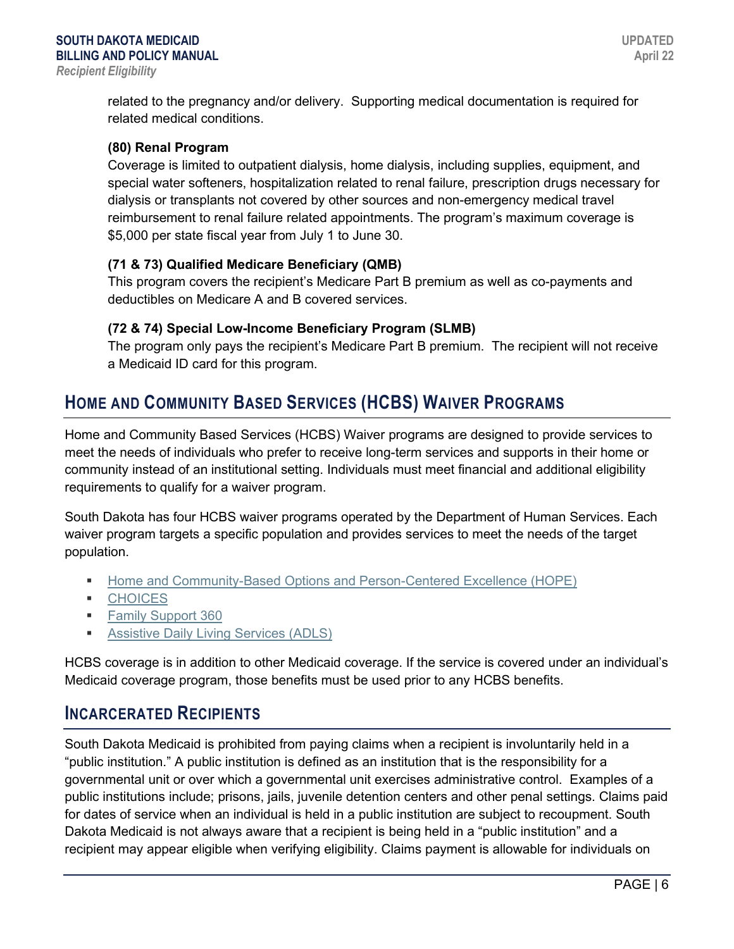related to the pregnancy and/or delivery. Supporting medical documentation is required for related medical conditions.

#### **(80) Renal Program**

Coverage is limited to outpatient dialysis, home dialysis, including supplies, equipment, and special water softeners, hospitalization related to renal failure, prescription drugs necessary for dialysis or transplants not covered by other sources and non-emergency medical travel reimbursement to renal failure related appointments. The program's maximum coverage is \$5,000 per state fiscal year from July 1 to June 30.

#### **(71 & 73) Qualified Medicare Beneficiary (QMB)**

This program covers the recipient's Medicare Part B premium as well as co-payments and deductibles on Medicare A and B covered services.

#### **(72 & 74) Special Low-Income Beneficiary Program (SLMB)**

The program only pays the recipient's Medicare Part B premium. The recipient will not receive a Medicaid ID card for this program.

### **HOME AND COMMUNITY BASED SERVICES (HCBS) WAIVER PROGRAMS**

Home and Community Based Services (HCBS) Waiver programs are designed to provide services to meet the needs of individuals who prefer to receive long-term services and supports in their home or community instead of an institutional setting. Individuals must meet financial and additional eligibility requirements to qualify for a waiver program.

South Dakota has four HCBS waiver programs operated by the Department of Human Services. Each waiver program targets a specific population and provides services to meet the needs of the target population.

- **[Home and Community-Based Options and Person-Centered Excellence \(HOPE\)](https://dhs.sd.gov/ltss/titlexix.aspx)**
- **[CHOICES](https://dhs.sd.gov/rehabservices/drsiloffices.aspx)**
- **[Family Support 360](https://dhs.sd.gov/developmentaldisabilities/familysupport360.aspx)**
- **[Assistive Daily Living](https://dhs.sd.gov/rehabservices/ADLS.aspx) Services (ADLS)**

HCBS coverage is in addition to other Medicaid coverage. If the service is covered under an individual's Medicaid coverage program, those benefits must be used prior to any HCBS benefits.

### **INCARCERATED RECIPIENTS**

South Dakota Medicaid is prohibited from paying claims when a recipient is involuntarily held in a "public institution." A public institution is defined as an institution that is the responsibility for a governmental unit or over which a governmental unit exercises administrative control. Examples of a public institutions include; prisons, jails, juvenile detention centers and other penal settings. Claims paid for dates of service when an individual is held in a public institution are subject to recoupment. South Dakota Medicaid is not always aware that a recipient is being held in a "public institution" and a recipient may appear eligible when verifying eligibility. Claims payment is allowable for individuals on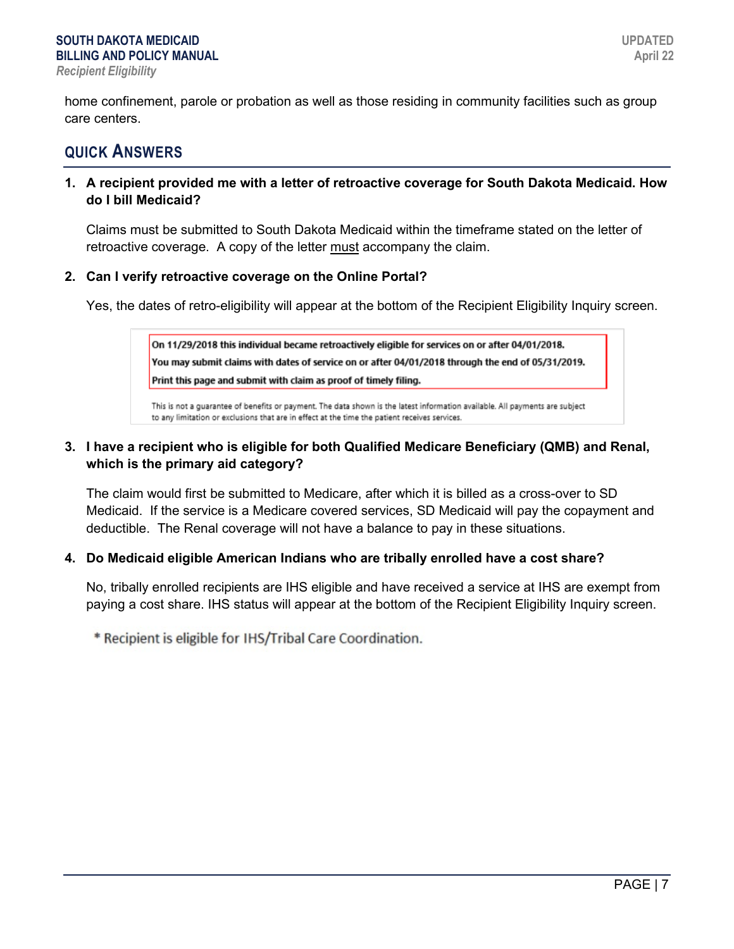home confinement, parole or probation as well as those residing in community facilities such as group care centers.

### **QUICK ANSWERS**

#### **1. A recipient provided me with a letter of retroactive coverage for South Dakota Medicaid. How do I bill Medicaid?**

Claims must be submitted to South Dakota Medicaid within the timeframe stated on the letter of retroactive coverage. A copy of the letter must accompany the claim.

#### **2. Can I verify retroactive coverage on the Online Portal?**

Yes, the dates of retro-eligibility will appear at the bottom of the Recipient Eligibility Inquiry screen.

On 11/29/2018 this individual became retroactively eligible for services on or after 04/01/2018. You may submit claims with dates of service on or after 04/01/2018 through the end of 05/31/2019. Print this page and submit with claim as proof of timely filing.

This is not a quarantee of benefits or payment. The data shown is the latest information available. All payments are subject to any limitation or exclusions that are in effect at the time the patient receives services.

#### **3. I have a recipient who is eligible for both Qualified Medicare Beneficiary (QMB) and Renal, which is the primary aid category?**

The claim would first be submitted to Medicare, after which it is billed as a cross-over to SD Medicaid. If the service is a Medicare covered services, SD Medicaid will pay the copayment and deductible. The Renal coverage will not have a balance to pay in these situations.

#### **4. Do Medicaid eligible American Indians who are tribally enrolled have a cost share?**

No, tribally enrolled recipients are IHS eligible and have received a service at IHS are exempt from paying a cost share. IHS status will appear at the bottom of the Recipient Eligibility Inquiry screen.

\* Recipient is eligible for IHS/Tribal Care Coordination.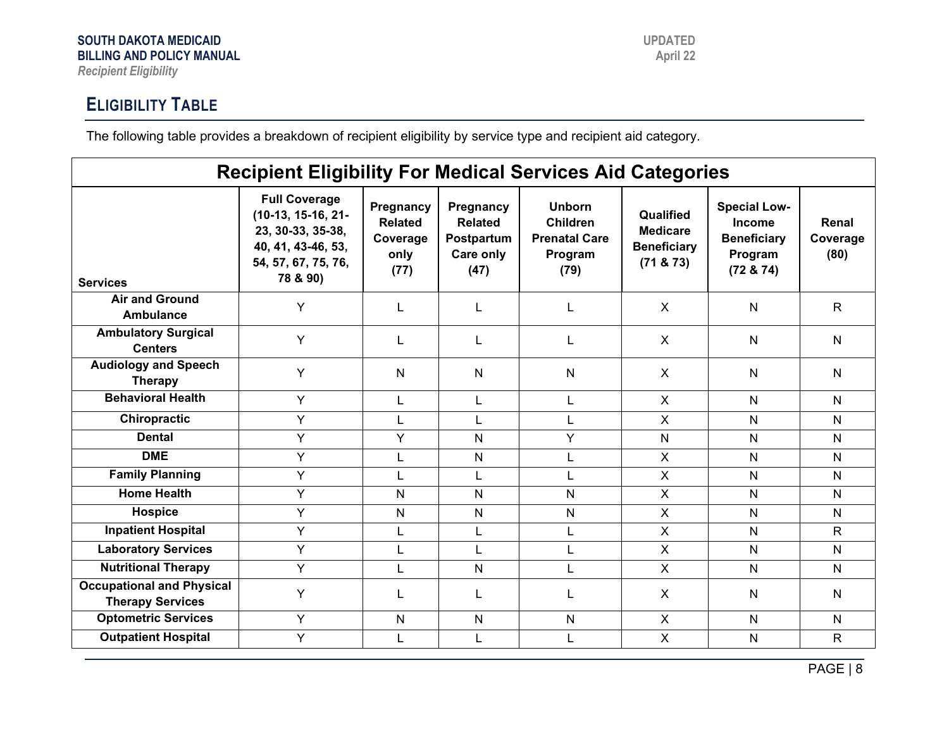## **ELIGIBILITY TABLE**

The following table provides a breakdown of recipient eligibility by service type and recipient aid category.

| <b>Recipient Eligibility For Medical Services Aid Categories</b> |                                                                                                                            |                                                         |                                                                |                                                                             |                                                                  |                                                                                    |                           |  |  |
|------------------------------------------------------------------|----------------------------------------------------------------------------------------------------------------------------|---------------------------------------------------------|----------------------------------------------------------------|-----------------------------------------------------------------------------|------------------------------------------------------------------|------------------------------------------------------------------------------------|---------------------------|--|--|
| <b>Services</b>                                                  | <b>Full Coverage</b><br>$(10-13, 15-16, 21-$<br>23, 30-33, 35-38,<br>40, 41, 43-46, 53,<br>54, 57, 67, 75, 76,<br>78 & 90) | Pregnancy<br><b>Related</b><br>Coverage<br>only<br>(77) | Pregnancy<br><b>Related</b><br>Postpartum<br>Care only<br>(47) | <b>Unborn</b><br><b>Children</b><br><b>Prenatal Care</b><br>Program<br>(79) | Qualified<br><b>Medicare</b><br><b>Beneficiary</b><br>(71 & 873) | <b>Special Low-</b><br><b>Income</b><br><b>Beneficiary</b><br>Program<br>(72 & 74) | Renal<br>Coverage<br>(80) |  |  |
| <b>Air and Ground</b><br>Ambulance                               | Y                                                                                                                          | L                                                       | L                                                              | L                                                                           | X                                                                | N                                                                                  | $\mathsf{R}$              |  |  |
| <b>Ambulatory Surgical</b><br><b>Centers</b>                     | Y                                                                                                                          | L                                                       |                                                                | L                                                                           | X                                                                | N                                                                                  | N                         |  |  |
| <b>Audiology and Speech</b><br><b>Therapy</b>                    | Y                                                                                                                          | N                                                       | N                                                              | N                                                                           | $\mathsf{X}$                                                     | N                                                                                  | N                         |  |  |
| <b>Behavioral Health</b>                                         | Y                                                                                                                          | L                                                       | L                                                              | L                                                                           | $\mathsf{X}$                                                     | $\mathsf{N}$                                                                       | N                         |  |  |
| Chiropractic                                                     | Y                                                                                                                          | L                                                       | L                                                              | L                                                                           | $\mathsf{X}$                                                     | $\mathsf{N}$                                                                       | N                         |  |  |
| <b>Dental</b>                                                    | Y                                                                                                                          | Y                                                       | N                                                              | Y                                                                           | N                                                                | N                                                                                  | N                         |  |  |
| <b>DME</b>                                                       | Y                                                                                                                          |                                                         | N                                                              | L                                                                           | $\mathsf{X}$                                                     | $\mathsf{N}$                                                                       | N                         |  |  |
| <b>Family Planning</b>                                           | Y                                                                                                                          |                                                         | L                                                              | L                                                                           | $\mathsf{X}$                                                     | $\overline{N}$                                                                     | N                         |  |  |
| <b>Home Health</b>                                               | Y                                                                                                                          | N                                                       | N                                                              | N                                                                           | $\mathsf{X}$                                                     | $\mathsf{N}$                                                                       | N.                        |  |  |
| <b>Hospice</b>                                                   | Y                                                                                                                          | $\mathsf{N}$                                            | N                                                              | N                                                                           | $\mathsf{X}$                                                     | $\mathsf{N}$                                                                       | N                         |  |  |
| <b>Inpatient Hospital</b>                                        | Y                                                                                                                          | L                                                       | L                                                              | L                                                                           | X                                                                | $\mathsf{N}$                                                                       | $\mathsf{R}$              |  |  |
| <b>Laboratory Services</b>                                       | Y                                                                                                                          | L                                                       | L                                                              | L                                                                           | $\mathsf{X}$                                                     | N                                                                                  | N                         |  |  |
| <b>Nutritional Therapy</b>                                       | Y                                                                                                                          | L                                                       | N                                                              | L                                                                           | $\mathsf{X}$                                                     | $\mathsf{N}$                                                                       | N.                        |  |  |
| <b>Occupational and Physical</b><br><b>Therapy Services</b>      | Y                                                                                                                          |                                                         |                                                                | L                                                                           | X                                                                | N                                                                                  | N                         |  |  |
| <b>Optometric Services</b>                                       | Y                                                                                                                          | $\mathsf{N}$                                            | N                                                              | N                                                                           | X                                                                | N                                                                                  | N                         |  |  |
| <b>Outpatient Hospital</b>                                       | Y                                                                                                                          | L                                                       | L                                                              | L                                                                           | $\mathsf{X}$                                                     | $\mathsf{N}$                                                                       | $\mathsf{R}$              |  |  |